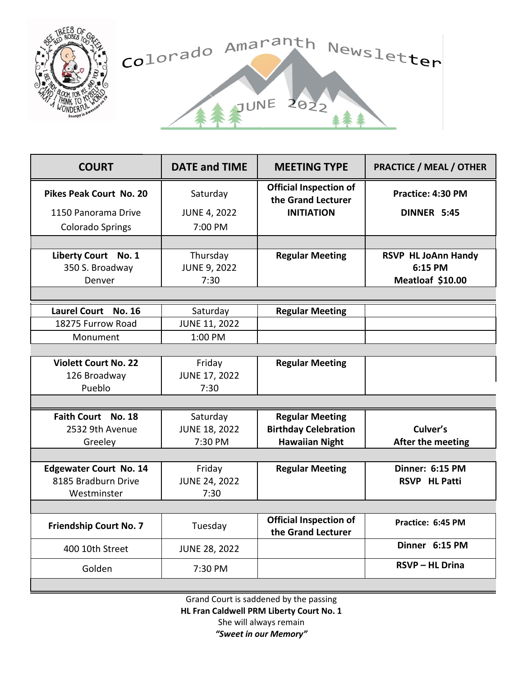

| <b>COURT</b>                                          | <b>DATE and TIME</b>                        | <b>MEETING TYPE</b>                                                            | <b>PRACTICE / MEAL / OTHER</b>                     |  |
|-------------------------------------------------------|---------------------------------------------|--------------------------------------------------------------------------------|----------------------------------------------------|--|
| <b>Pikes Peak Court No. 20</b>                        | Saturday                                    | <b>Official Inspection of</b><br>the Grand Lecturer                            | Practice: 4:30 PM                                  |  |
| 1150 Panorama Drive                                   | <b>JUNE 4, 2022</b>                         | <b>INITIATION</b>                                                              | <b>DINNER 5:45</b>                                 |  |
| <b>Colorado Springs</b>                               | 7:00 PM                                     |                                                                                |                                                    |  |
|                                                       |                                             |                                                                                |                                                    |  |
| Liberty Court No. 1<br>350 S. Broadway<br>Denver      | Thursday<br><b>JUNE 9, 2022</b><br>7:30     | <b>Regular Meeting</b>                                                         | RSVP HL JoAnn Handy<br>6:15 PM<br>Meatloaf \$10.00 |  |
|                                                       |                                             |                                                                                |                                                    |  |
| <b>Laurel Court</b><br><b>No. 16</b>                  | Saturday                                    | <b>Regular Meeting</b>                                                         |                                                    |  |
| 18275 Furrow Road                                     | <b>JUNE 11, 2022</b>                        |                                                                                |                                                    |  |
| Monument                                              | 1:00 PM                                     |                                                                                |                                                    |  |
|                                                       |                                             |                                                                                |                                                    |  |
| <b>Violett Court No. 22</b><br>126 Broadway<br>Pueblo | Friday<br><b>JUNE 17, 2022</b><br>7:30      | <b>Regular Meeting</b>                                                         |                                                    |  |
|                                                       |                                             |                                                                                |                                                    |  |
| Faith Court No. 18<br>2532 9th Avenue<br>Greeley      | Saturday<br><b>JUNE 18, 2022</b><br>7:30 PM | <b>Regular Meeting</b><br><b>Birthday Celebration</b><br><b>Hawaiian Night</b> | Culver's<br>After the meeting                      |  |
|                                                       |                                             |                                                                                |                                                    |  |
| <b>Edgewater Court No. 14</b><br>8185 Bradburn Drive  | Friday<br><b>JUNE 24, 2022</b>              | <b>Regular Meeting</b>                                                         | Dinner: 6:15 PM<br><b>RSVP HL Patti</b>            |  |

| <b>Friendship Court No. 7</b> | Tuesday              | <b>Official Inspection of</b><br>the Grand Lecturer | Practice: 6:45 PM    |
|-------------------------------|----------------------|-----------------------------------------------------|----------------------|
| 400 10th Street               | <b>JUNE 28, 2022</b> |                                                     | Dinner 6:15 PM       |
| Golden                        | $7:30 \text{ PM}$    |                                                     | <b>RSVP-HL Drina</b> |
|                               |                      |                                                     |                      |

Westminster | 7:30

Grand Court is saddened by the passing **HL Fran Caldwell PRM Liberty Court No. 1** She will always remain *"Sweet in our Memory"*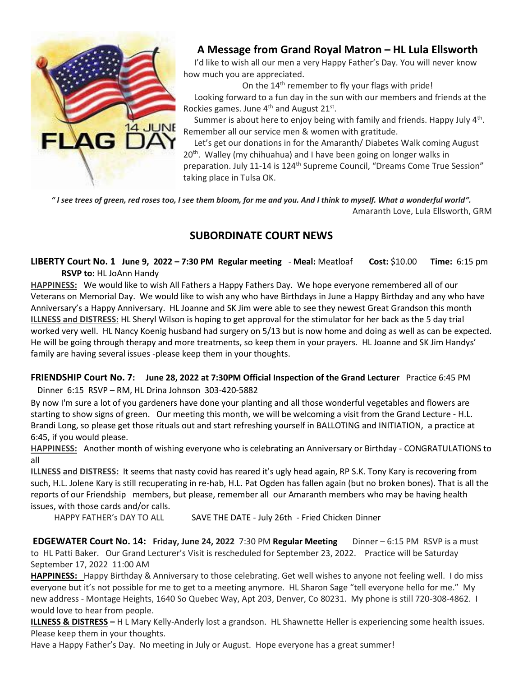

# **A Message from Grand Royal Matron – HL Lula Ellsworth**

 I'd like to wish all our men a very Happy Father's Day. You will never know how much you are appreciated.

On the  $14<sup>th</sup>$  remember to fly your flags with pride! Looking forward to a fun day in the sun with our members and friends at the Rockies games. June  $4^{th}$  and August 21st.

Summer is about here to enjoy being with family and friends. Happy July 4<sup>th</sup>. Remember all our service men & women with gratitude.

 Let's get our donations in for the Amaranth/ Diabetes Walk coming August 20<sup>th</sup>. Walley (my chihuahua) and I have been going on longer walks in preparation. July 11-14 is 124<sup>th</sup> Supreme Council, "Dreams Come True Session" taking place in Tulsa OK.

*" I see trees of green, red roses too, I see them bloom, for me and you. And I think to myself. What a wonderful world".* Amaranth Love, Lula Ellsworth, GRM

# **SUBORDINATE COURT NEWS**

**LIBERTY Court No. 1 June 9, 2022 – 7:30 PM Regular meeting** - **Meal:** Meatloaf **Cost:** \$10.00 **Time:** 6:15 pm **RSVP to:** HL JoAnn Handy

**HAPPINESS:** We would like to wish All Fathers a Happy Fathers Day. We hope everyone remembered all of our Veterans on Memorial Day. We would like to wish any who have Birthdays in June a Happy Birthday and any who have Anniversary's a Happy Anniversary. HL Joanne and SK Jim were able to see they newest Great Grandson this month **ILLNESS and DISTRESS:** HL Sheryl Wilson is hoping to get approval for the stimulator for her back as the 5 day trial worked very well. HL Nancy Koenig husband had surgery on 5/13 but is now home and doing as well as can be expected. He will be going through therapy and more treatments, so keep them in your prayers. HL Joanne and SK Jim Handys' family are having several issues -please keep them in your thoughts.

## **FRIENDSHIP Court No. 7: June 28, 2022 at 7:30PM Official Inspection of the Grand Lecturer** Practice 6:45 PM

Dinner 6:15 RSVP – RM, HL Drina Johnson 303-420-5882

By now I'm sure a lot of you gardeners have done your planting and all those wonderful vegetables and flowers are starting to show signs of green. Our meeting this month, we will be welcoming a visit from the Grand Lecture - H.L. Brandi Long, so please get those rituals out and start refreshing yourself in BALLOTING and INITIATION, a practice at 6:45, if you would please.

**HAPPINESS:** Another month of wishing everyone who is celebrating an Anniversary or Birthday - CONGRATULATIONS to all

**ILLNESS and DISTRESS:** It seems that nasty covid has reared it's ugly head again, RP S.K. Tony Kary is recovering from such, H.L. Jolene Kary is still recuperating in re-hab, H.L. Pat Ogden has fallen again (but no broken bones). That is all the reports of our Friendship members, but please, remember all our Amaranth members who may be having health issues, with those cards and/or calls.

HAPPY FATHER's DAY TO ALL SAVE THE DATE - July 26th - Fried Chicken Dinner

**EDGEWATER Court No. 14: Friday, June 24, 2022** 7:30 PM **Regular Meeting** Dinner – 6:15 PM RSVP is a must to HL Patti Baker. Our Grand Lecturer's Visit is rescheduled for September 23, 2022. Practice will be Saturday September 17, 2022 11:00 AM

**HAPPINESS:** Happy Birthday & Anniversary to those celebrating. Get well wishes to anyone not feeling well. I do miss everyone but it's not possible for me to get to a meeting anymore. HL Sharon Sage "tell everyone hello for me." My new address - Montage Heights, 1640 So Quebec Way, Apt 203, Denver, Co 80231. My phone is still 720-308-4862. I would love to hear from people.

**ILLNESS & DISTRESS –** H L Mary Kelly-Anderly lost a grandson. HL Shawnette Heller is experiencing some health issues. Please keep them in your thoughts.

Have a Happy Father's Day. No meeting in July or August. Hope everyone has a great summer!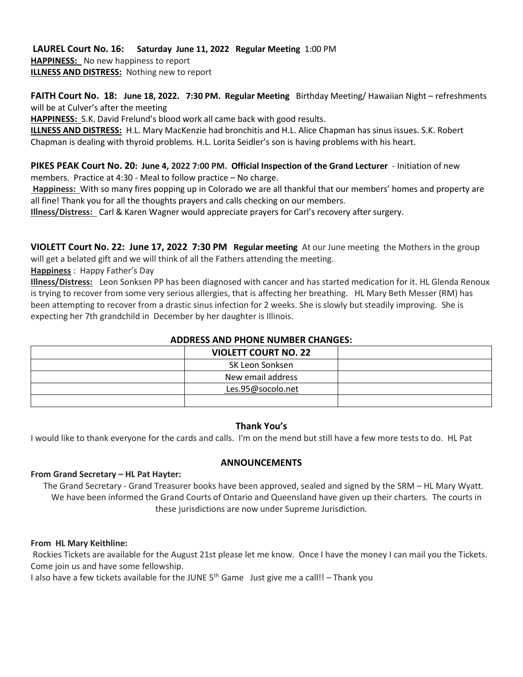#### **LAUREL Court No. 16: Saturday June 11, 2022 Regular Meeting** 1:00 PM **HAPPINESS:** No new happiness to report **ILLNESS AND DISTRESS:** Nothing new to report

**FAITH Court No. 18: June 18, 2022. 7:30 PM. Regular Meeting** Birthday Meeting/ Hawaiian Night – refreshments will be at Culver's after the meeting

**HAPPINESS:** S.K. David Frelund's blood work all came back with good results.

**ILLNESS AND DISTRESS:** H.L. Mary MacKenzie had bronchitis and H.L. Alice Chapman has sinus issues. S.K. Robert Chapman is dealing with thyroid problems. H.L. Lorita Seidler's son is having problems with his heart.

**PIKES PEAK Court No. 20: June 4, 2022 7:00 PM. Official Inspection of the Grand Lecturer** - Initiation of new members. Practice at 4:30 - Meal to follow practice – No charge.

**Happiness:** With so many fires popping up in Colorado we are all thankful that our members' homes and property are all fine! Thank you for all the thoughts prayers and calls checking on our members.

**Illness/Distress:** Carl & Karen Wagner would appreciate prayers for Carl's recovery after surgery.

**VIOLETT Court No. 22: June 17, 2022 7:30 PM Regular meeting** At our June meeting the Mothers in the group will get a belated gift and we will think of all the Fathers attending the meeting.

**Happiness** : Happy Father's Day

**Illness/Distress:** Leon Sonksen PP has been diagnosed with cancer and has started medication for it. HL Glenda Renoux is trying to recover from some very serious allergies, that is affecting her breathing. HL Mary Beth Messer (RM) has been attempting to recover from a drastic sinus infection for 2 weeks. She is slowly but steadily improving. She is expecting her 7th grandchild in December by her daughter is Illinois.

## **ADDRESS AND PHONE NUMBER CHANGES:**

| <b>VIOLETT COURT NO. 22</b> |  |
|-----------------------------|--|
| SK Leon Sonksen             |  |
| New email address           |  |
| Les.95@socolo.net           |  |
|                             |  |

## **Thank You's**

I would like to thank everyone for the cards and calls. I'm on the mend but still have a few more tests to do. HL Pat

## **ANNOUNCEMENTS**

## **From Grand Secretary – HL Pat Hayter:**

 The Grand Secretary - Grand Treasurer books have been approved, sealed and signed by the SRM – HL Mary Wyatt. We have been informed the Grand Courts of Ontario and Queensland have given up their charters. The courts in these jurisdictions are now under Supreme Jurisdiction.

## **From HL Mary Keithline:**

Rockies Tickets are available for the August 21st please let me know. Once I have the money I can mail you the Tickets. Come join us and have some fellowship.

I also have a few tickets available for the JUNE  $5<sup>th</sup>$  Game Just give me a call!! – Thank you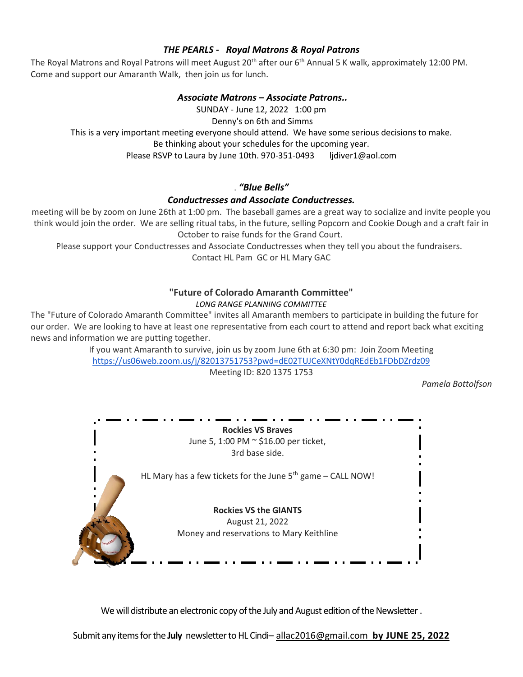## *THE PEARLS - Royal Matrons & Royal Patrons*

The Royal Matrons and Royal Patrons will meet August 20<sup>th</sup> after our 6<sup>th</sup> Annual 5 K walk, approximately 12:00 PM. Come and support our Amaranth Walk, then join us for lunch.

#### *Associate Matrons – Associate Patrons..*

SUNDAY - June 12, 2022 1:00 pm Denny's on 6th and Simms This is a very important meeting everyone should attend. We have some serious decisions to make. Be thinking about your schedules for the upcoming year. Please RSVP to Laura by June 10th. 970-351-0493 [ljdiver1@aol.com](mailto:ljdiver1@aol.com)

#### . *"Blue Bells"*

#### *Conductresses and Associate Conductresses.*

meeting will be by zoom on June 26th at 1:00 pm. The baseball games are a great way to socialize and invite people you think would join the order. We are selling ritual tabs, in the future, selling Popcorn and Cookie Dough and a craft fair in October to raise funds for the Grand Court.

Please support your Conductresses and Associate Conductresses when they tell you about the fundraisers. Contact HL Pam GC or HL Mary GAC

## **"Future of Colorado Amaranth Committee"**

*LONG RANGE PLANNING COMMITTEE*

The "Future of Colorado Amaranth Committee" invites all Amaranth members to participate in building the future for our order. We are looking to have at least one representative from each court to attend and report back what exciting news and information we are putting together.

> If you want Amaranth to survive, join us by zoom June 6th at 6:30 pm: Join Zoom Meeting <https://us06web.zoom.us/j/82013751753?pwd=dE02TUJCeXNtY0dqREdEb1FDbDZrdz09>

Meeting ID: 820 1375 1753

*Pamela Bottolfson*



We will distribute an electronic copy of the July and August edition of the Newsletter .

Submit any items for the **July** newsletter to HL Cindi– [allac2016@gmail.com](mailto:allac2016@gmail.com) **by JUNE 25, 2022**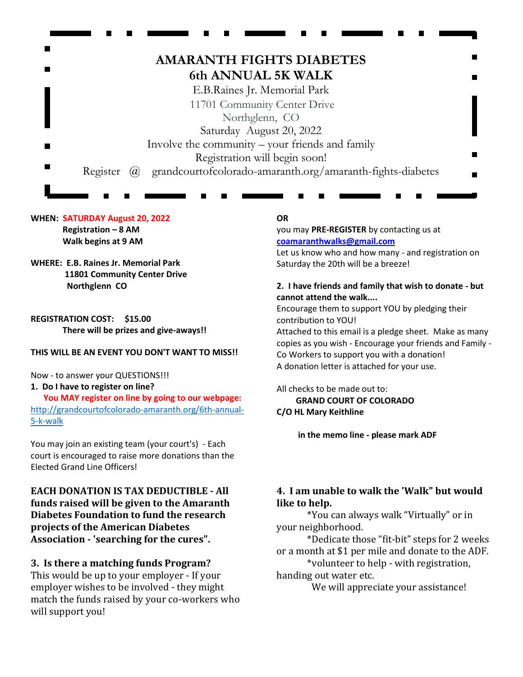|          | <b>AMARANTH FIGHTS DIABETES</b>                                   |
|----------|-------------------------------------------------------------------|
|          | <b>6th ANNUAL 5K WALK</b>                                         |
|          | E.B.Raines Jr. Memorial Park                                      |
|          | 11701 Community Center Drive                                      |
|          | Northglenn, CO                                                    |
|          | Saturday August 20, 2022                                          |
|          | Involve the community – your friends and family                   |
|          | Registration will begin soon!                                     |
| Register | grandcourtofcolorado-amaranth.org/amaranth-fights-diabetes<br>(a) |

#### **WHEN: SATURDAY August 20, 2022 Registration – 8 AM Walk begins at 9 AM**

**WHERE: E.B. Raines Jr. Memorial Park 11801 Community Center Drive Northglenn CO**

**REGISTRATION COST: \$15.00 There will be prizes and give-aways!!**

#### **THIS WILL BE AN EVENT YOU DON'T WANT TO MISS!!**

Now - to answer your QUESTIONS!!!

#### **1. Do I have to register on line?**

 **You MAY register on line by going to our webpage:** [http://grandcourtofcolorado-amaranth.org/6th-annual-](http://grandcourtofcolorado-amaranth.org/6th-annual-5-k-walk)[5-k-walk](http://grandcourtofcolorado-amaranth.org/6th-annual-5-k-walk)

You may join an existing team (your court's) - Each court is encouraged to raise more donations than the Elected Grand Line Officers!

**EACH DONATION IS TAX DEDUCTIBLE - All funds raised will be given to the Amaranth Diabetes Foundation to fund the research projects of the American Diabetes Association - 'searching for the cures".**

## **3. Is there a matching funds Program?**

This would be up to your employer - If your employer wishes to be involved - they might match the funds raised by your co-workers who will support you!

## **OR**

you may **PRE-REGISTER** by contacting us at **[coamaranthwalks@gmail.com](mailto:coamaranthwalks@gmail.com)**

Let us know who and how many - and registration on Saturday the 20th will be a breeze!

## **2. I have friends and family that wish to donate - but cannot attend the walk....**

Encourage them to support YOU by pledging their contribution to YOU!

Attached to this email is a pledge sheet. Make as many copies as you wish - Encourage your friends and Family - Co Workers to support you with a donation! A donation letter is attached for your use.

All checks to be made out to:  **GRAND COURT OF COLORADO C/O HL Mary Keithline**

 **in the memo line - please mark ADF**

## **4. I am unable to walk the 'Walk" but would like to help.**

\*You can always walk "Virtually" or in your neighborhood.

\*Dedicate those "fit-bit" steps for 2 weeks or a month at \$1 per mile and donate to the ADF.

\*volunteer to help - with registration,

handing out water etc.

We will appreciate your assistance!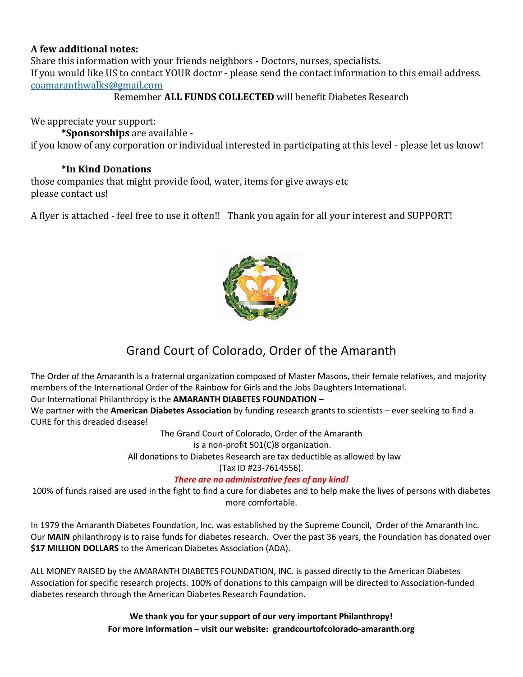## **A few additional notes:**

Share this information with your friends neighbors - Doctors, nurses, specialists. If you would like US to contact YOUR doctor - please send the contact information to this email address. [coamaranthwalks@gmail.com](mailto:coamaranthwalks@gmail.com)

Remember **ALL FUNDS COLLECTED** will benefit Diabetes Research

We appreciate your support:

**\*Sponsorships** are available if you know of any corporation or individual interested in participating at this level - please let us know!

## **\*In Kind Donations**

those companies that might provide food, water, items for give aways etc please contact us!

A flyer is attached - feel free to use it often!! Thank you again for all your interest and SUPPORT!



# Grand Court of Colorado, Order of the Amaranth

The Order of the Amaranth is a fraternal organization composed of Master Masons, their female relatives, and majority members of the International Order of the Rainbow for Girls and the Jobs Daughters International.

Our International Philanthropy is the **AMARANTH DIABETES FOUNDATION –**

We partner with the **American Diabetes Association** by funding research grants to scientists – ever seeking to find a CURE for this dreaded disease!

> The Grand Court of Colorado, Order of the Amaranth is a non-profit 501(C)8 organization. All donations to Diabetes Research are tax deductible as allowed by law (Tax ID #23-7614556).

## *There are no administrative fees of any kind!*

100% of funds raised are used in the fight to find a cure for diabetes and to help make the lives of persons with diabetes more comfortable.

In 1979 the Amaranth Diabetes Foundation, Inc. was established by the Supreme Council, Order of the Amaranth Inc. Our **MAIN** philanthropy is to raise funds for diabetes research. Over the past 36 years, the Foundation has donated over **\$17 MILLION DOLLARS** to the American Diabetes Association (ADA).

ALL MONEY RAISED by the AMARANTH DIABETES FOUNDATION, INC. is passed directly to the American Diabetes Association for specific research projects. 100% of donations to this campaign will be directed to Association-funded diabetes research through the American Diabetes Research Foundation.

> **We thank you for your support of our very important Philanthropy! For more information – visit our website: grandcourtofcolorado-amaranth.org**